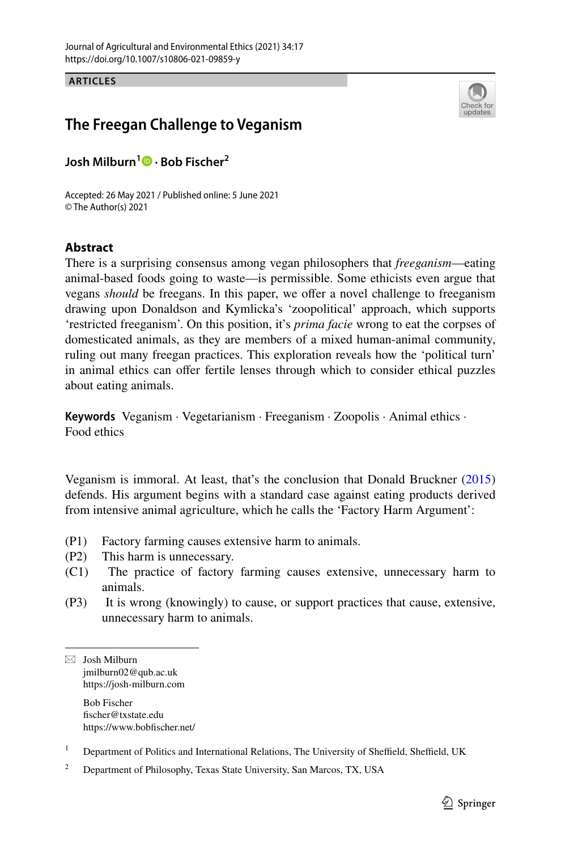**ARTICLES**



# **The Freegan Challenge to Veganism**

**Josh Milburn1 · Bob Fischer2**

Accepted: 26 May 2021 / Published online: 5 June 2021 © The Author(s) 2021

## **Abstract**

There is a surprising consensus among vegan philosophers that *freeganism*—eating animal-based foods going to waste—is permissible. Some ethicists even argue that vegans *should* be freegans. In this paper, we offer a novel challenge to freeganism drawing upon Donaldson and Kymlicka's 'zoopolitical' approach, which supports 'restricted freeganism'. On this position, it's *prima facie* wrong to eat the corpses of domesticated animals, as they are members of a mixed human-animal community, ruling out many freegan practices. This exploration reveals how the 'political turn' in animal ethics can offer fertile lenses through which to consider ethical puzzles about eating animals.

**Keywords** Veganism · Vegetarianism · Freeganism · Zoopolis · Animal ethics · Food ethics

Veganism is immoral. At least, that's the conclusion that Donald Bruckner [\(2015](#page-17-0)) defends. His argument begins with a standard case against eating products derived from intensive animal agriculture, which he calls the 'Factory Harm Argument':

- (P1) Factory farming causes extensive harm to animals.
- 
- (P2) This harm is unnecessary.<br>(C1) The practice of factory The practice of factory farming causes extensive, unnecessary harm to animals.
- (P3) It is wrong (knowingly) to cause, or support practices that cause, extensive, unnecessary harm to animals.

 $\boxtimes$  Josh Milburn jmilburn02@qub.ac.uk https://josh-milburn.com Bob Fischer

fscher@txstate.edu https://www.bobfscher.net/

<sup>1</sup> Department of Politics and International Relations, The University of Sheffield, Sheffield, UK

<sup>2</sup> Department of Philosophy, Texas State University, San Marcos, TX, USA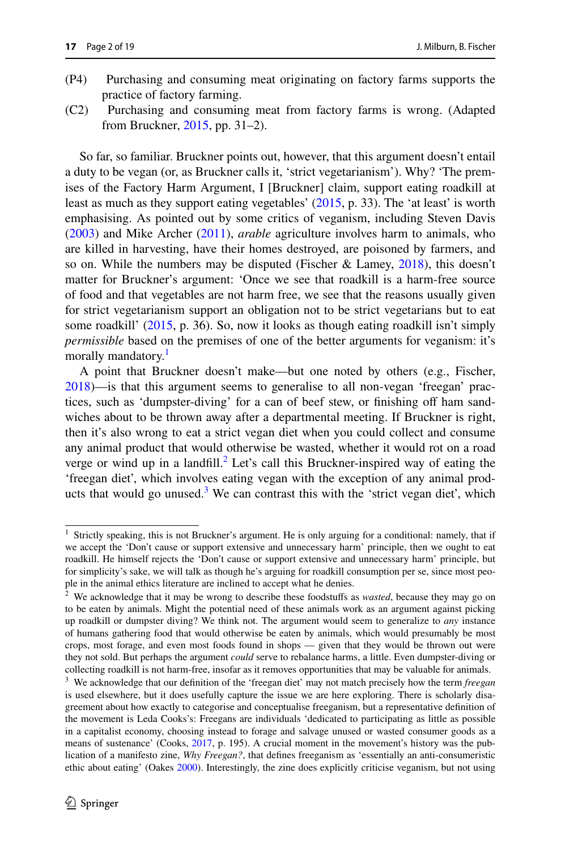- (P4) Purchasing and consuming meat originating on factory farms supports the practice of factory farming.
- (C2) Purchasing and consuming meat from factory farms is wrong. (Adapted from Bruckner, [2015,](#page-17-0) pp. 31–2).

So far, so familiar. Bruckner points out, however, that this argument doesn't entail a duty to be vegan (or, as Bruckner calls it, 'strict vegetarianism'). Why? 'The premises of the Factory Harm Argument, I [Bruckner] claim, support eating roadkill at least as much as they support eating vegetables' ([2015,](#page-17-0) p. 33). The 'at least' is worth emphasising. As pointed out by some critics of veganism, including Steven Davis [\(2003](#page-17-1)) and Mike Archer [\(2011](#page-16-0)), *arable* agriculture involves harm to animals, who are killed in harvesting, have their homes destroyed, are poisoned by farmers, and so on. While the numbers may be disputed (Fischer & Lamey, [2018](#page-17-2)), this doesn't matter for Bruckner's argument: 'Once we see that roadkill is a harm-free source of food and that vegetables are not harm free, we see that the reasons usually given for strict vegetarianism support an obligation not to be strict vegetarians but to eat some roadkill' ([2015,](#page-17-0) p. 36). So, now it looks as though eating roadkill isn't simply *permissible* based on the premises of one of the better arguments for veganism: it's morally mandatory.<sup>[1](#page-1-0)</sup>

A point that Bruckner doesn't make—but one noted by others (e.g., Fischer, [2018](#page-17-3))—is that this argument seems to generalise to all non-vegan 'freegan' practices, such as 'dumpster-diving' for a can of beef stew, or finishing off ham sandwiches about to be thrown away after a departmental meeting. If Bruckner is right, then it's also wrong to eat a strict vegan diet when you could collect and consume any animal product that would otherwise be wasted, whether it would rot on a road verge or wind up in a landfill. ${}^{2}$  ${}^{2}$  ${}^{2}$  Let's call this Bruckner-inspired way of eating the 'freegan diet', which involves eating vegan with the exception of any animal products that would go unused. $3$  We can contrast this with the 'strict vegan diet', which

<span id="page-1-0"></span><sup>&</sup>lt;sup>1</sup> Strictly speaking, this is not Bruckner's argument. He is only arguing for a conditional: namely, that if we accept the 'Don't cause or support extensive and unnecessary harm' principle, then we ought to eat roadkill. He himself rejects the 'Don't cause or support extensive and unnecessary harm' principle, but for simplicity's sake, we will talk as though he's arguing for roadkill consumption per se, since most people in the animal ethics literature are inclined to accept what he denies.

<span id="page-1-1"></span><sup>2</sup> We acknowledge that it may be wrong to describe these foodstufs as *wasted*, because they may go on to be eaten by animals. Might the potential need of these animals work as an argument against picking up roadkill or dumpster diving? We think not. The argument would seem to generalize to *any* instance of humans gathering food that would otherwise be eaten by animals, which would presumably be most crops, most forage, and even most foods found in shops — given that they would be thrown out were they not sold. But perhaps the argument *could* serve to rebalance harms, a little. Even dumpster-diving or collecting roadkill is not harm-free, insofar as it removes opportunities that may be valuable for animals.

<span id="page-1-2"></span><sup>3</sup> We acknowledge that our defnition of the 'freegan diet' may not match precisely how the term *freegan* is used elsewhere, but it does usefully capture the issue we are here exploring. There is scholarly disagreement about how exactly to categorise and conceptualise freeganism, but a representative defnition of the movement is Leda Cooks's: Freegans are individuals 'dedicated to participating as little as possible in a capitalist economy, choosing instead to forage and salvage unused or wasted consumer goods as a means of sustenance' (Cooks, [2017](#page-17-4), p. 195). A crucial moment in the movement's history was the publication of a manifesto zine, *Why Freegan?*, that defnes freeganism as 'essentially an anti-consumeristic ethic about eating' (Oakes [2000\)](#page-17-5). Interestingly, the zine does explicitly criticise veganism, but not using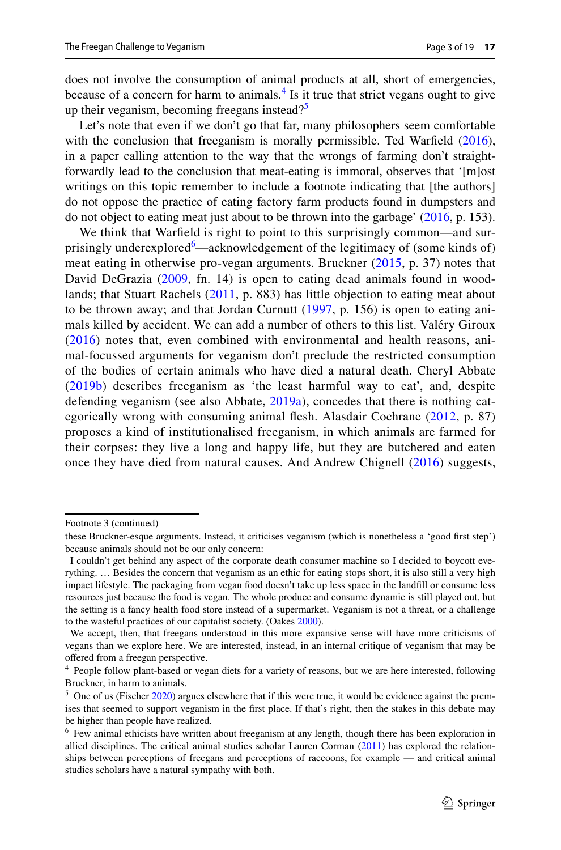does not involve the consumption of animal products at all, short of emergencies, because of a concern for harm to animals. $<sup>4</sup>$  $<sup>4</sup>$  $<sup>4</sup>$  Is it true that strict vegans ought to give</sup> up their veganism, becoming freegans instead? $5$ 

Let's note that even if we don't go that far, many philosophers seem comfortable with the conclusion that freeganism is morally permissible. Ted Warfield ([2016\)](#page-18-0), in a paper calling attention to the way that the wrongs of farming don't straightforwardly lead to the conclusion that meat-eating is immoral, observes that '[m]ost writings on this topic remember to include a footnote indicating that [the authors] do not oppose the practice of eating factory farm products found in dumpsters and do not object to eating meat just about to be thrown into the garbage' [\(2016](#page-18-0), p. 153).

We think that Warfeld is right to point to this surprisingly common—and sur-prisingly underexplored<sup>[6](#page-2-2)</sup>—acknowledgement of the legitimacy of (some kinds of) meat eating in otherwise pro-vegan arguments. Bruckner [\(2015,](#page-17-0) p. 37) notes that David DeGrazia ([2009](#page-17-6), fn. 14) is open to eating dead animals found in woodlands; that Stuart Rachels ([2011,](#page-17-7) p. 883) has little objection to eating meat about to be thrown away; and that Jordan Curnutt ([1997](#page-17-8), p. 156) is open to eating animals killed by accident. We can add a number of others to this list. Valéry Giroux [\(2016](#page-17-9)) notes that, even combined with environmental and health reasons, animal-focussed arguments for veganism don't preclude the restricted consumption of the bodies of certain animals who have died a natural death. Cheryl Abbate [\(2019b](#page-16-1)) describes freeganism as 'the least harmful way to eat', and, despite defending veganism (see also Abbate, [2019a](#page-16-2)), concedes that there is nothing categorically wrong with consuming animal fesh. Alasdair Cochrane ([2012,](#page-17-10) p. 87) proposes a kind of institutionalised freeganism, in which animals are farmed for their corpses: they live a long and happy life, but they are butchered and eaten once they have died from natural causes. And Andrew Chignell ([2016](#page-17-11)) suggests,

Footnote 3 (continued)

these Bruckner-esque arguments. Instead, it criticises veganism (which is nonetheless a 'good frst step') because animals should not be our only concern:

I couldn't get behind any aspect of the corporate death consumer machine so I decided to boycott everything. … Besides the concern that veganism as an ethic for eating stops short, it is also still a very high impact lifestyle. The packaging from vegan food doesn't take up less space in the landfll or consume less resources just because the food is vegan. The whole produce and consume dynamic is still played out, but the setting is a fancy health food store instead of a supermarket. Veganism is not a threat, or a challenge to the wasteful practices of our capitalist society. (Oakes [2000](#page-17-5)).

We accept, then, that freegans understood in this more expansive sense will have more criticisms of vegans than we explore here. We are interested, instead, in an internal critique of veganism that may be ofered from a freegan perspective.

<span id="page-2-0"></span><sup>4</sup> People follow plant-based or vegan diets for a variety of reasons, but we are here interested, following Bruckner, in harm to animals.

<span id="page-2-1"></span> $5$  One of us (Fischer [2020\)](#page-17-12) argues elsewhere that if this were true, it would be evidence against the premises that seemed to support veganism in the frst place. If that's right, then the stakes in this debate may be higher than people have realized.

<span id="page-2-2"></span><sup>&</sup>lt;sup>6</sup> Few animal ethicists have written about freeganism at any length, though there has been exploration in allied disciplines. The critical animal studies scholar Lauren Corman [\(2011](#page-17-13)) has explored the relationships between perceptions of freegans and perceptions of raccoons, for example — and critical animal studies scholars have a natural sympathy with both.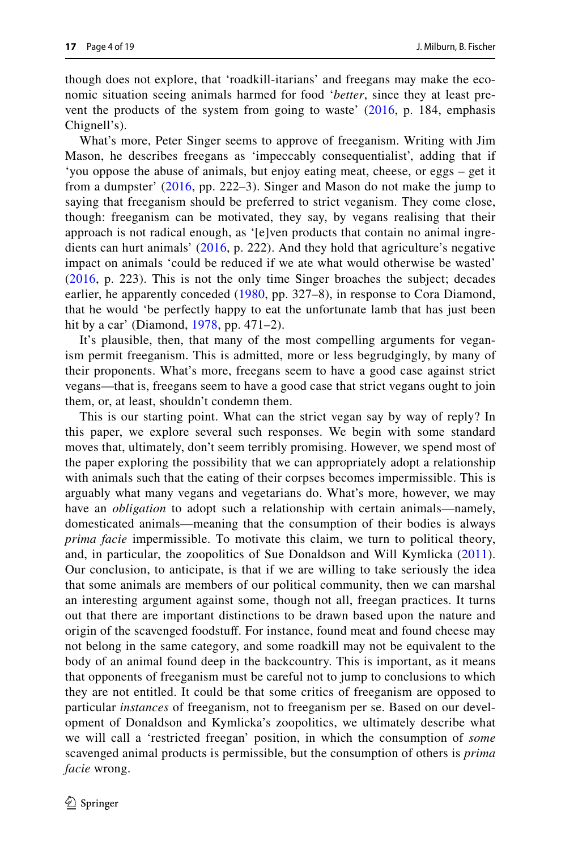though does not explore, that 'roadkill-itarians' and freegans may make the economic situation seeing animals harmed for food '*better*, since they at least prevent the products of the system from going to waste' ([2016](#page-17-11), p. 184, emphasis Chignell's).

What's more, Peter Singer seems to approve of freeganism. Writing with Jim Mason, he describes freegans as 'impeccably consequentialist', adding that if 'you oppose the abuse of animals, but enjoy eating meat, cheese, or eggs – get it from a dumpster' ([2016](#page-17-11), pp. 222–3). Singer and Mason do not make the jump to saying that freeganism should be preferred to strict veganism. They come close, though: freeganism can be motivated, they say, by vegans realising that their approach is not radical enough, as '[e]ven products that contain no animal ingredients can hurt animals' ([2016,](#page-17-11) p. 222). And they hold that agriculture's negative impact on animals 'could be reduced if we ate what would otherwise be wasted' [\(2016](#page-17-11), p. 223). This is not the only time Singer broaches the subject; decades earlier, he apparently conceded ([1980,](#page-17-14) pp. 327–8), in response to Cora Diamond, that he would 'be perfectly happy to eat the unfortunate lamb that has just been hit by a car' (Diamond, [1978,](#page-17-15) pp. 471–2).

It's plausible, then, that many of the most compelling arguments for veganism permit freeganism. This is admitted, more or less begrudgingly, by many of their proponents. What's more, freegans seem to have a good case against strict vegans—that is, freegans seem to have a good case that strict vegans ought to join them, or, at least, shouldn't condemn them.

This is our starting point. What can the strict vegan say by way of reply? In this paper, we explore several such responses. We begin with some standard moves that, ultimately, don't seem terribly promising. However, we spend most of the paper exploring the possibility that we can appropriately adopt a relationship with animals such that the eating of their corpses becomes impermissible. This is arguably what many vegans and vegetarians do. What's more, however, we may have an *obligation* to adopt such a relationship with certain animals—namely, domesticated animals—meaning that the consumption of their bodies is always *prima facie* impermissible. To motivate this claim, we turn to political theory, and, in particular, the zoopolitics of Sue Donaldson and Will Kymlicka ([2011](#page-17-16)). Our conclusion, to anticipate, is that if we are willing to take seriously the idea that some animals are members of our political community, then we can marshal an interesting argument against some, though not all, freegan practices. It turns out that there are important distinctions to be drawn based upon the nature and origin of the scavenged foodstuf. For instance, found meat and found cheese may not belong in the same category, and some roadkill may not be equivalent to the body of an animal found deep in the backcountry. This is important, as it means that opponents of freeganism must be careful not to jump to conclusions to which they are not entitled. It could be that some critics of freeganism are opposed to particular *instances* of freeganism, not to freeganism per se. Based on our development of Donaldson and Kymlicka's zoopolitics, we ultimately describe what we will call a 'restricted freegan' position, in which the consumption of *some* scavenged animal products is permissible, but the consumption of others is *prima facie* wrong.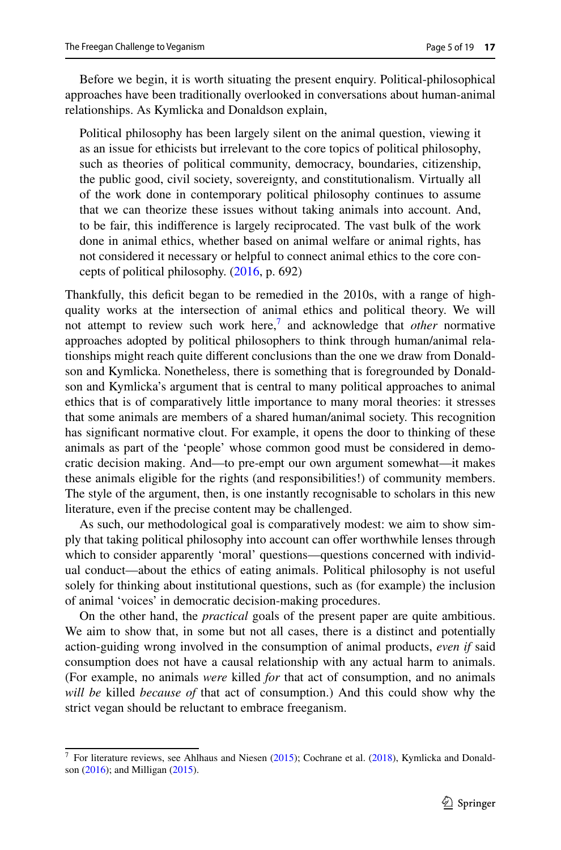Before we begin, it is worth situating the present enquiry. Political-philosophical approaches have been traditionally overlooked in conversations about human-animal relationships. As Kymlicka and Donaldson explain,

Political philosophy has been largely silent on the animal question, viewing it as an issue for ethicists but irrelevant to the core topics of political philosophy, such as theories of political community, democracy, boundaries, citizenship, the public good, civil society, sovereignty, and constitutionalism. Virtually all of the work done in contemporary political philosophy continues to assume that we can theorize these issues without taking animals into account. And, to be fair, this indiference is largely reciprocated. The vast bulk of the work done in animal ethics, whether based on animal welfare or animal rights, has not considered it necessary or helpful to connect animal ethics to the core concepts of political philosophy. [\(2016](#page-17-17), p. 692)

Thankfully, this deficit began to be remedied in the 2010s, with a range of highquality works at the intersection of animal ethics and political theory. We will not attempt to review such work here,<sup>[7](#page-4-0)</sup> and acknowledge that *other* normative approaches adopted by political philosophers to think through human/animal relationships might reach quite diferent conclusions than the one we draw from Donaldson and Kymlicka. Nonetheless, there is something that is foregrounded by Donaldson and Kymlicka's argument that is central to many political approaches to animal ethics that is of comparatively little importance to many moral theories: it stresses that some animals are members of a shared human/animal society. This recognition has signifcant normative clout. For example, it opens the door to thinking of these animals as part of the 'people' whose common good must be considered in democratic decision making. And—to pre-empt our own argument somewhat—it makes these animals eligible for the rights (and responsibilities!) of community members. The style of the argument, then, is one instantly recognisable to scholars in this new literature, even if the precise content may be challenged.

As such, our methodological goal is comparatively modest: we aim to show simply that taking political philosophy into account can ofer worthwhile lenses through which to consider apparently 'moral' questions—questions concerned with individual conduct—about the ethics of eating animals. Political philosophy is not useful solely for thinking about institutional questions, such as (for example) the inclusion of animal 'voices' in democratic decision-making procedures.

On the other hand, the *practical* goals of the present paper are quite ambitious. We aim to show that, in some but not all cases, there is a distinct and potentially action-guiding wrong involved in the consumption of animal products, *even if* said consumption does not have a causal relationship with any actual harm to animals. (For example, no animals *were* killed *for* that act of consumption, and no animals *will be* killed *because of* that act of consumption.) And this could show why the strict vegan should be reluctant to embrace freeganism.

<span id="page-4-0"></span><sup>&</sup>lt;sup>7</sup> For literature reviews, see Ahlhaus and Niesen [\(2015](#page-16-3)); Cochrane et al. ([2018\)](#page-17-18), Kymlicka and Donaldson ([2016\)](#page-17-17); and Milligan [\(2015](#page-17-19)).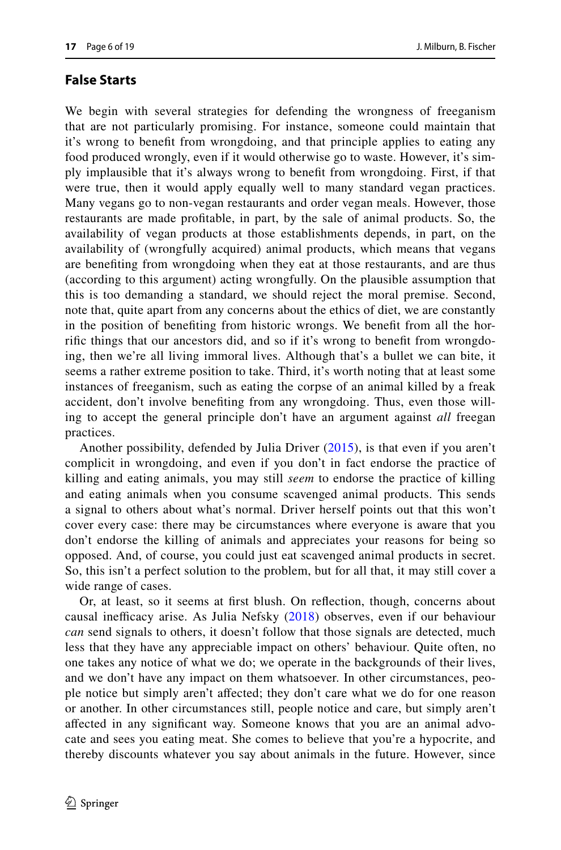## **False Starts**

We begin with several strategies for defending the wrongness of freeganism that are not particularly promising. For instance, someone could maintain that it's wrong to beneft from wrongdoing, and that principle applies to eating any food produced wrongly, even if it would otherwise go to waste. However, it's simply implausible that it's always wrong to beneft from wrongdoing. First, if that were true, then it would apply equally well to many standard vegan practices. Many vegans go to non-vegan restaurants and order vegan meals. However, those restaurants are made proftable, in part, by the sale of animal products. So, the availability of vegan products at those establishments depends, in part, on the availability of (wrongfully acquired) animal products, which means that vegans are benefting from wrongdoing when they eat at those restaurants, and are thus (according to this argument) acting wrongfully. On the plausible assumption that this is too demanding a standard, we should reject the moral premise. Second, note that, quite apart from any concerns about the ethics of diet, we are constantly in the position of benefting from historic wrongs. We beneft from all the horrifc things that our ancestors did, and so if it's wrong to beneft from wrongdoing, then we're all living immoral lives. Although that's a bullet we can bite, it seems a rather extreme position to take. Third, it's worth noting that at least some instances of freeganism, such as eating the corpse of an animal killed by a freak accident, don't involve benefting from any wrongdoing. Thus, even those willing to accept the general principle don't have an argument against *all* freegan practices.

Another possibility, defended by Julia Driver ([2015\)](#page-17-20), is that even if you aren't complicit in wrongdoing, and even if you don't in fact endorse the practice of killing and eating animals, you may still *seem* to endorse the practice of killing and eating animals when you consume scavenged animal products. This sends a signal to others about what's normal. Driver herself points out that this won't cover every case: there may be circumstances where everyone is aware that you don't endorse the killing of animals and appreciates your reasons for being so opposed. And, of course, you could just eat scavenged animal products in secret. So, this isn't a perfect solution to the problem, but for all that, it may still cover a wide range of cases.

Or, at least, so it seems at frst blush. On refection, though, concerns about causal inefficacy arise. As Julia Nefsky [\(2018\)](#page-17-21) observes, even if our behaviour *can* send signals to others, it doesn't follow that those signals are detected, much less that they have any appreciable impact on others' behaviour. Quite often, no one takes any notice of what we do; we operate in the backgrounds of their lives, and we don't have any impact on them whatsoever. In other circumstances, people notice but simply aren't afected; they don't care what we do for one reason or another. In other circumstances still, people notice and care, but simply aren't afected in any signifcant way. Someone knows that you are an animal advocate and sees you eating meat. She comes to believe that you're a hypocrite, and thereby discounts whatever you say about animals in the future. However, since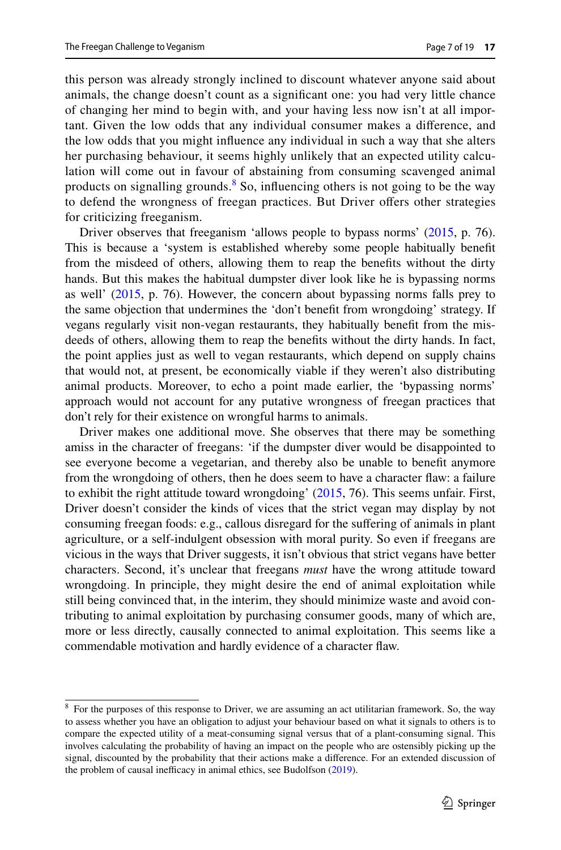this person was already strongly inclined to discount whatever anyone said about animals, the change doesn't count as a signifcant one: you had very little chance of changing her mind to begin with, and your having less now isn't at all important. Given the low odds that any individual consumer makes a diference, and the low odds that you might infuence any individual in such a way that she alters her purchasing behaviour, it seems highly unlikely that an expected utility calculation will come out in favour of abstaining from consuming scavenged animal products on signalling grounds.<sup>[8](#page-6-0)</sup> So, influencing others is not going to be the way to defend the wrongness of freegan practices. But Driver offers other strategies for criticizing freeganism.

Driver observes that freeganism 'allows people to bypass norms' ([2015,](#page-17-20) p. 76). This is because a 'system is established whereby some people habitually beneft from the misdeed of others, allowing them to reap the benefts without the dirty hands. But this makes the habitual dumpster diver look like he is bypassing norms as well' [\(2015](#page-17-20), p. 76). However, the concern about bypassing norms falls prey to the same objection that undermines the 'don't beneft from wrongdoing' strategy. If vegans regularly visit non-vegan restaurants, they habitually beneft from the misdeeds of others, allowing them to reap the benefts without the dirty hands. In fact, the point applies just as well to vegan restaurants, which depend on supply chains that would not, at present, be economically viable if they weren't also distributing animal products. Moreover, to echo a point made earlier, the 'bypassing norms' approach would not account for any putative wrongness of freegan practices that don't rely for their existence on wrongful harms to animals.

Driver makes one additional move. She observes that there may be something amiss in the character of freegans: 'if the dumpster diver would be disappointed to see everyone become a vegetarian, and thereby also be unable to beneft anymore from the wrongdoing of others, then he does seem to have a character faw: a failure to exhibit the right attitude toward wrongdoing' [\(2015](#page-17-20), 76). This seems unfair. First, Driver doesn't consider the kinds of vices that the strict vegan may display by not consuming freegan foods: e.g., callous disregard for the sufering of animals in plant agriculture, or a self-indulgent obsession with moral purity. So even if freegans are vicious in the ways that Driver suggests, it isn't obvious that strict vegans have better characters. Second, it's unclear that freegans *must* have the wrong attitude toward wrongdoing. In principle, they might desire the end of animal exploitation while still being convinced that, in the interim, they should minimize waste and avoid contributing to animal exploitation by purchasing consumer goods, many of which are, more or less directly, causally connected to animal exploitation. This seems like a commendable motivation and hardly evidence of a character faw.

<span id="page-6-0"></span><sup>&</sup>lt;sup>8</sup> For the purposes of this response to Driver, we are assuming an act utilitarian framework. So, the way to assess whether you have an obligation to adjust your behaviour based on what it signals to others is to compare the expected utility of a meat-consuming signal versus that of a plant-consuming signal. This involves calculating the probability of having an impact on the people who are ostensibly picking up the signal, discounted by the probability that their actions make a diference. For an extended discussion of the problem of causal inefficacy in animal ethics, see Budolfson  $(2019)$  $(2019)$ .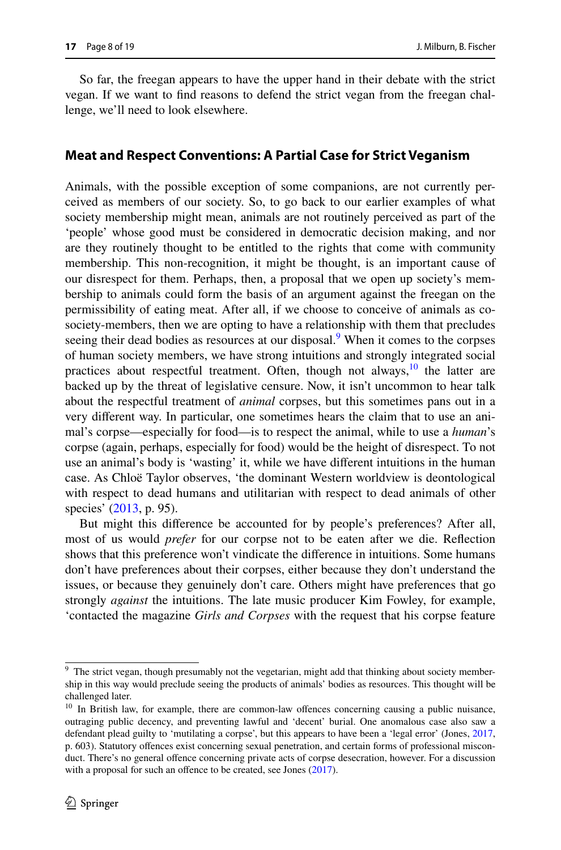So far, the freegan appears to have the upper hand in their debate with the strict vegan. If we want to fnd reasons to defend the strict vegan from the freegan challenge, we'll need to look elsewhere.

#### **Meat and Respect Conventions: A Partial Case for Strict Veganism**

Animals, with the possible exception of some companions, are not currently perceived as members of our society. So, to go back to our earlier examples of what society membership might mean, animals are not routinely perceived as part of the 'people' whose good must be considered in democratic decision making, and nor are they routinely thought to be entitled to the rights that come with community membership. This non-recognition, it might be thought, is an important cause of our disrespect for them. Perhaps, then, a proposal that we open up society's membership to animals could form the basis of an argument against the freegan on the permissibility of eating meat. After all, if we choose to conceive of animals as cosociety-members, then we are opting to have a relationship with them that precludes seeing their dead bodies as resources at our disposal.<sup>[9](#page-7-0)</sup> When it comes to the corpses of human society members, we have strong intuitions and strongly integrated social practices about respectful treatment. Often, though not always,  $\frac{10}{10}$  the latter are backed up by the threat of legislative censure. Now, it isn't uncommon to hear talk about the respectful treatment of *animal* corpses, but this sometimes pans out in a very diferent way. In particular, one sometimes hears the claim that to use an animal's corpse—especially for food—is to respect the animal, while to use a *human*'s corpse (again, perhaps, especially for food) would be the height of disrespect. To not use an animal's body is 'wasting' it, while we have diferent intuitions in the human case. As Chloë Taylor observes, 'the dominant Western worldview is deontological with respect to dead humans and utilitarian with respect to dead animals of other species' ([2013,](#page-18-1) p. 95).

But might this diference be accounted for by people's preferences? After all, most of us would *prefer* for our corpse not to be eaten after we die. Refection shows that this preference won't vindicate the diference in intuitions. Some humans don't have preferences about their corpses, either because they don't understand the issues, or because they genuinely don't care. Others might have preferences that go strongly *against* the intuitions. The late music producer Kim Fowley, for example, 'contacted the magazine *Girls and Corpses* with the request that his corpse feature

<span id="page-7-0"></span><sup>&</sup>lt;sup>9</sup> The strict vegan, though presumably not the vegetarian, might add that thinking about society membership in this way would preclude seeing the products of animals' bodies as resources. This thought will be challenged later.

<span id="page-7-1"></span><sup>&</sup>lt;sup>10</sup> In British law, for example, there are common-law offences concerning causing a public nuisance, outraging public decency, and preventing lawful and 'decent' burial. One anomalous case also saw a defendant plead guilty to 'mutilating a corpse', but this appears to have been a 'legal error' (Jones, [2017](#page-17-23), p. 603). Statutory ofences exist concerning sexual penetration, and certain forms of professional misconduct. There's no general offence concerning private acts of corpse desecration, however. For a discussion with a proposal for such an offence to be created, see Jones [\(2017](#page-17-23)).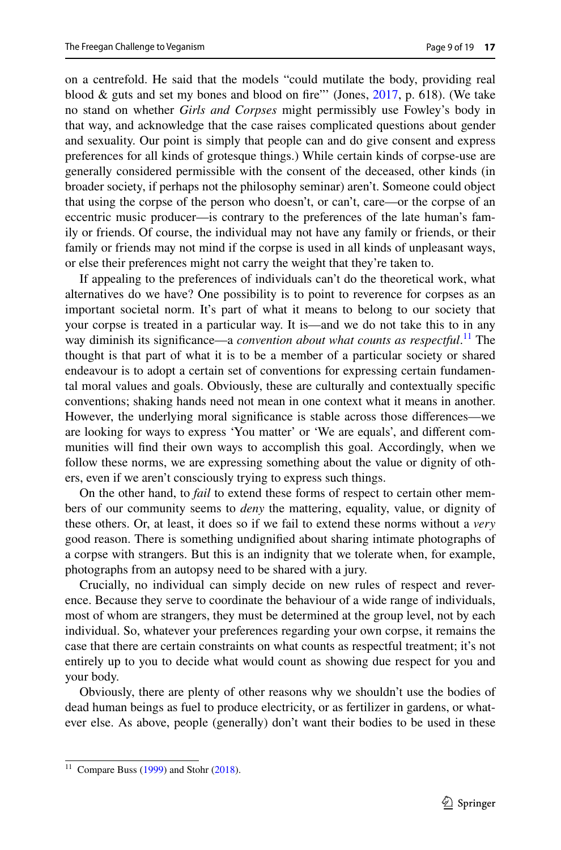on a centrefold. He said that the models "could mutilate the body, providing real blood & guts and set my bones and blood on fire"' (Jones, [2017](#page-17-23), p. 618). (We take no stand on whether *Girls and Corpses* might permissibly use Fowley's body in that way, and acknowledge that the case raises complicated questions about gender and sexuality. Our point is simply that people can and do give consent and express preferences for all kinds of grotesque things.) While certain kinds of corpse-use are generally considered permissible with the consent of the deceased, other kinds (in broader society, if perhaps not the philosophy seminar) aren't. Someone could object that using the corpse of the person who doesn't, or can't, care—or the corpse of an eccentric music producer—is contrary to the preferences of the late human's family or friends. Of course, the individual may not have any family or friends, or their family or friends may not mind if the corpse is used in all kinds of unpleasant ways, or else their preferences might not carry the weight that they're taken to.

If appealing to the preferences of individuals can't do the theoretical work, what alternatives do we have? One possibility is to point to reverence for corpses as an important societal norm. It's part of what it means to belong to our society that your corpse is treated in a particular way. It is—and we do not take this to in any way diminish its significance—a *convention about what counts as respectful*.<sup>11</sup> The thought is that part of what it is to be a member of a particular society or shared endeavour is to adopt a certain set of conventions for expressing certain fundamental moral values and goals. Obviously, these are culturally and contextually specifc conventions; shaking hands need not mean in one context what it means in another. However, the underlying moral signifcance is stable across those diferences—we are looking for ways to express 'You matter' or 'We are equals', and diferent communities will fnd their own ways to accomplish this goal. Accordingly, when we follow these norms, we are expressing something about the value or dignity of others, even if we aren't consciously trying to express such things.

On the other hand, to *fail* to extend these forms of respect to certain other members of our community seems to *deny* the mattering, equality, value, or dignity of these others. Or, at least, it does so if we fail to extend these norms without a *very* good reason. There is something undignifed about sharing intimate photographs of a corpse with strangers. But this is an indignity that we tolerate when, for example, photographs from an autopsy need to be shared with a jury.

Crucially, no individual can simply decide on new rules of respect and reverence. Because they serve to coordinate the behaviour of a wide range of individuals, most of whom are strangers, they must be determined at the group level, not by each individual. So, whatever your preferences regarding your own corpse, it remains the case that there are certain constraints on what counts as respectful treatment; it's not entirely up to you to decide what would count as showing due respect for you and your body.

Obviously, there are plenty of other reasons why we shouldn't use the bodies of dead human beings as fuel to produce electricity, or as fertilizer in gardens, or whatever else. As above, people (generally) don't want their bodies to be used in these

<span id="page-8-0"></span><sup>&</sup>lt;sup>11</sup> Compare Buss [\(1999](#page-17-24)) and Stohr [\(2018](#page-18-2)).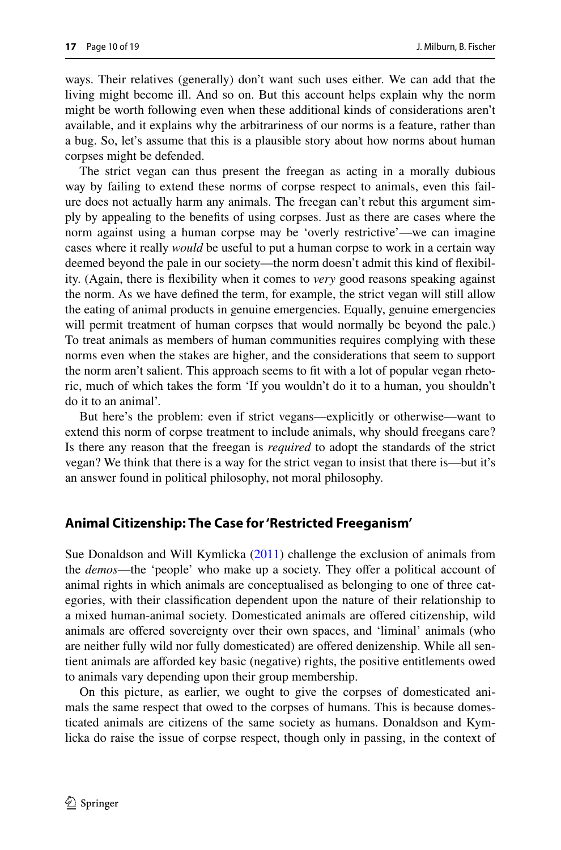ways. Their relatives (generally) don't want such uses either. We can add that the living might become ill. And so on. But this account helps explain why the norm might be worth following even when these additional kinds of considerations aren't available, and it explains why the arbitrariness of our norms is a feature, rather than a bug. So, let's assume that this is a plausible story about how norms about human corpses might be defended.

The strict vegan can thus present the freegan as acting in a morally dubious way by failing to extend these norms of corpse respect to animals, even this failure does not actually harm any animals. The freegan can't rebut this argument simply by appealing to the benefts of using corpses. Just as there are cases where the norm against using a human corpse may be 'overly restrictive'—we can imagine cases where it really *would* be useful to put a human corpse to work in a certain way deemed beyond the pale in our society—the norm doesn't admit this kind of fexibility. (Again, there is fexibility when it comes to *very* good reasons speaking against the norm. As we have defned the term, for example, the strict vegan will still allow the eating of animal products in genuine emergencies. Equally, genuine emergencies will permit treatment of human corpses that would normally be beyond the pale.) To treat animals as members of human communities requires complying with these norms even when the stakes are higher, and the considerations that seem to support the norm aren't salient. This approach seems to ft with a lot of popular vegan rhetoric, much of which takes the form 'If you wouldn't do it to a human, you shouldn't do it to an animal'.

But here's the problem: even if strict vegans—explicitly or otherwise—want to extend this norm of corpse treatment to include animals, why should freegans care? Is there any reason that the freegan is *required* to adopt the standards of the strict vegan? We think that there is a way for the strict vegan to insist that there is—but it's an answer found in political philosophy, not moral philosophy.

#### **Animal Citizenship: The Case for 'Restricted Freeganism'**

Sue Donaldson and Will Kymlicka [\(2011](#page-17-16)) challenge the exclusion of animals from the *demos*—the 'people' who make up a society. They offer a political account of animal rights in which animals are conceptualised as belonging to one of three categories, with their classifcation dependent upon the nature of their relationship to a mixed human-animal society. Domesticated animals are ofered citizenship, wild animals are ofered sovereignty over their own spaces, and 'liminal' animals (who are neither fully wild nor fully domesticated) are ofered denizenship. While all sentient animals are aforded key basic (negative) rights, the positive entitlements owed to animals vary depending upon their group membership.

On this picture, as earlier, we ought to give the corpses of domesticated animals the same respect that owed to the corpses of humans. This is because domesticated animals are citizens of the same society as humans. Donaldson and Kymlicka do raise the issue of corpse respect, though only in passing, in the context of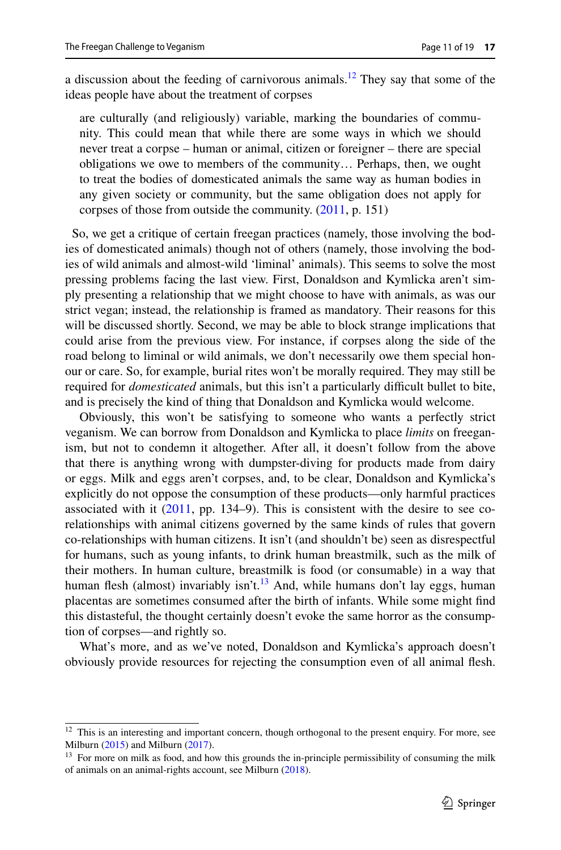a discussion about the feeding of carnivorous animals.<sup>12</sup> They say that some of the ideas people have about the treatment of corpses

are culturally (and religiously) variable, marking the boundaries of community. This could mean that while there are some ways in which we should never treat a corpse – human or animal, citizen or foreigner – there are special obligations we owe to members of the community… Perhaps, then, we ought to treat the bodies of domesticated animals the same way as human bodies in any given society or community, but the same obligation does not apply for corpses of those from outside the community. ([2011,](#page-17-16) p. 151)

 So, we get a critique of certain freegan practices (namely, those involving the bodies of domesticated animals) though not of others (namely, those involving the bodies of wild animals and almost-wild 'liminal' animals). This seems to solve the most pressing problems facing the last view. First, Donaldson and Kymlicka aren't simply presenting a relationship that we might choose to have with animals, as was our strict vegan; instead, the relationship is framed as mandatory. Their reasons for this will be discussed shortly. Second, we may be able to block strange implications that could arise from the previous view. For instance, if corpses along the side of the road belong to liminal or wild animals, we don't necessarily owe them special honour or care. So, for example, burial rites won't be morally required. They may still be required for *domesticated* animals, but this isn't a particularly difficult bullet to bite, and is precisely the kind of thing that Donaldson and Kymlicka would welcome.

Obviously, this won't be satisfying to someone who wants a perfectly strict veganism. We can borrow from Donaldson and Kymlicka to place *limits* on freeganism, but not to condemn it altogether. After all, it doesn't follow from the above that there is anything wrong with dumpster-diving for products made from dairy or eggs. Milk and eggs aren't corpses, and, to be clear, Donaldson and Kymlicka's explicitly do not oppose the consumption of these products—only harmful practices associated with it [\(2011](#page-17-16), pp. 134–9). This is consistent with the desire to see corelationships with animal citizens governed by the same kinds of rules that govern co-relationships with human citizens. It isn't (and shouldn't be) seen as disrespectful for humans, such as young infants, to drink human breastmilk, such as the milk of their mothers. In human culture, breastmilk is food (or consumable) in a way that human flesh (almost) invariably isn't.<sup>13</sup> And, while humans don't lay eggs, human placentas are sometimes consumed after the birth of infants. While some might fnd this distasteful, the thought certainly doesn't evoke the same horror as the consumption of corpses—and rightly so.

What's more, and as we've noted, Donaldson and Kymlicka's approach doesn't obviously provide resources for rejecting the consumption even of all animal fesh.

<span id="page-10-0"></span><sup>&</sup>lt;sup>12</sup> This is an interesting and important concern, though orthogonal to the present enquiry. For more, see Milburn [\(2015](#page-17-26)) and Milburn [\(2017](#page-17-27)).

<span id="page-10-1"></span><sup>&</sup>lt;sup>13</sup> For more on milk as food, and how this grounds the in-principle permissibility of consuming the milk of animals on an animal-rights account, see Milburn [\(2018](#page-17-25)).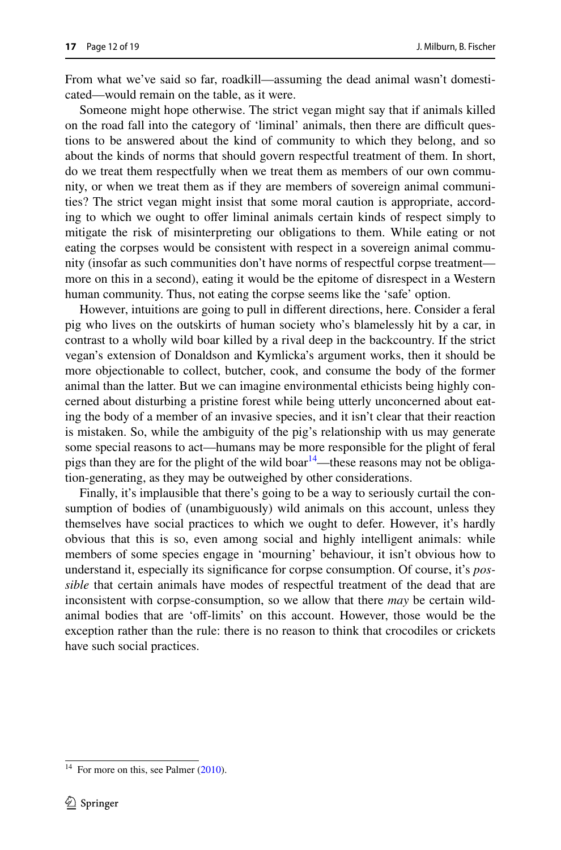From what we've said so far, roadkill—assuming the dead animal wasn't domesticated—would remain on the table, as it were.

Someone might hope otherwise. The strict vegan might say that if animals killed on the road fall into the category of 'liminal' animals, then there are difcult questions to be answered about the kind of community to which they belong, and so about the kinds of norms that should govern respectful treatment of them. In short, do we treat them respectfully when we treat them as members of our own community, or when we treat them as if they are members of sovereign animal communities? The strict vegan might insist that some moral caution is appropriate, according to which we ought to offer liminal animals certain kinds of respect simply to mitigate the risk of misinterpreting our obligations to them. While eating or not eating the corpses would be consistent with respect in a sovereign animal community (insofar as such communities don't have norms of respectful corpse treatment more on this in a second), eating it would be the epitome of disrespect in a Western human community. Thus, not eating the corpse seems like the 'safe' option.

However, intuitions are going to pull in diferent directions, here. Consider a feral pig who lives on the outskirts of human society who's blamelessly hit by a car, in contrast to a wholly wild boar killed by a rival deep in the backcountry. If the strict vegan's extension of Donaldson and Kymlicka's argument works, then it should be more objectionable to collect, butcher, cook, and consume the body of the former animal than the latter. But we can imagine environmental ethicists being highly concerned about disturbing a pristine forest while being utterly unconcerned about eating the body of a member of an invasive species, and it isn't clear that their reaction is mistaken. So, while the ambiguity of the pig's relationship with us may generate some special reasons to act—humans may be more responsible for the plight of feral pigs than they are for the plight of the wild boar $14$ —these reasons may not be obligation-generating, as they may be outweighed by other considerations.

Finally, it's implausible that there's going to be a way to seriously curtail the consumption of bodies of (unambiguously) wild animals on this account, unless they themselves have social practices to which we ought to defer. However, it's hardly obvious that this is so, even among social and highly intelligent animals: while members of some species engage in 'mourning' behaviour, it isn't obvious how to understand it, especially its signifcance for corpse consumption. Of course, it's *possible* that certain animals have modes of respectful treatment of the dead that are inconsistent with corpse-consumption, so we allow that there *may* be certain wildanimal bodies that are 'off-limits' on this account. However, those would be the exception rather than the rule: there is no reason to think that crocodiles or crickets have such social practices.

<span id="page-11-0"></span> $14$  For more on this, see Palmer [\(2010](#page-17-28)).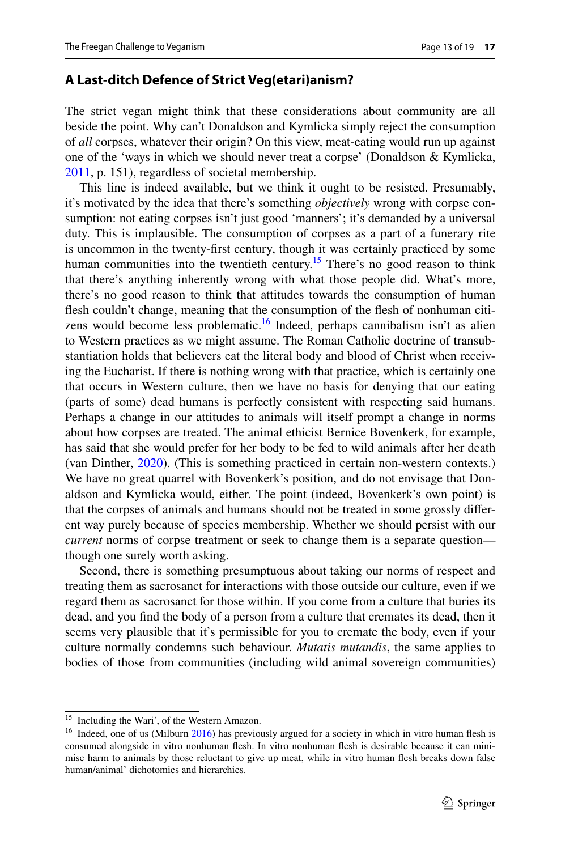#### **A Last‑ditch Defence of Strict Veg(etari)anism?**

The strict vegan might think that these considerations about community are all beside the point. Why can't Donaldson and Kymlicka simply reject the consumption of *all* corpses, whatever their origin? On this view, meat-eating would run up against one of the 'ways in which we should never treat a corpse' (Donaldson & Kymlicka, [2011](#page-17-16), p. 151), regardless of societal membership.

This line is indeed available, but we think it ought to be resisted. Presumably, it's motivated by the idea that there's something *objectively* wrong with corpse consumption: not eating corpses isn't just good 'manners'; it's demanded by a universal duty. This is implausible. The consumption of corpses as a part of a funerary rite is uncommon in the twenty-frst century, though it was certainly practiced by some human communities into the twentieth century.<sup>[15](#page-12-0)</sup> There's no good reason to think that there's anything inherently wrong with what those people did. What's more, there's no good reason to think that attitudes towards the consumption of human fesh couldn't change, meaning that the consumption of the fesh of nonhuman citizens would become less problematic.<sup>16</sup> Indeed, perhaps cannibalism isn't as alien to Western practices as we might assume. The Roman Catholic doctrine of transubstantiation holds that believers eat the literal body and blood of Christ when receiving the Eucharist. If there is nothing wrong with that practice, which is certainly one that occurs in Western culture, then we have no basis for denying that our eating (parts of some) dead humans is perfectly consistent with respecting said humans. Perhaps a change in our attitudes to animals will itself prompt a change in norms about how corpses are treated. The animal ethicist Bernice Bovenkerk, for example, has said that she would prefer for her body to be fed to wild animals after her death (van Dinther, [2020\)](#page-18-3). (This is something practiced in certain non-western contexts.) We have no great quarrel with Bovenkerk's position, and do not envisage that Donaldson and Kymlicka would, either. The point (indeed, Bovenkerk's own point) is that the corpses of animals and humans should not be treated in some grossly diferent way purely because of species membership. Whether we should persist with our *current* norms of corpse treatment or seek to change them is a separate question though one surely worth asking.

Second, there is something presumptuous about taking our norms of respect and treating them as sacrosanct for interactions with those outside our culture, even if we regard them as sacrosanct for those within. If you come from a culture that buries its dead, and you fnd the body of a person from a culture that cremates its dead, then it seems very plausible that it's permissible for you to cremate the body, even if your culture normally condemns such behaviour. *Mutatis mutandis*, the same applies to bodies of those from communities (including wild animal sovereign communities)

<span id="page-12-0"></span><sup>&</sup>lt;sup>15</sup> Including the Wari', of the Western Amazon.

<span id="page-12-1"></span><sup>&</sup>lt;sup>16</sup> Indeed, one of us (Milburn [2016](#page-17-29)) has previously argued for a society in which in vitro human flesh is consumed alongside in vitro nonhuman flesh. In vitro nonhuman flesh is desirable because it can minimise harm to animals by those reluctant to give up meat, while in vitro human fesh breaks down false human/animal' dichotomies and hierarchies.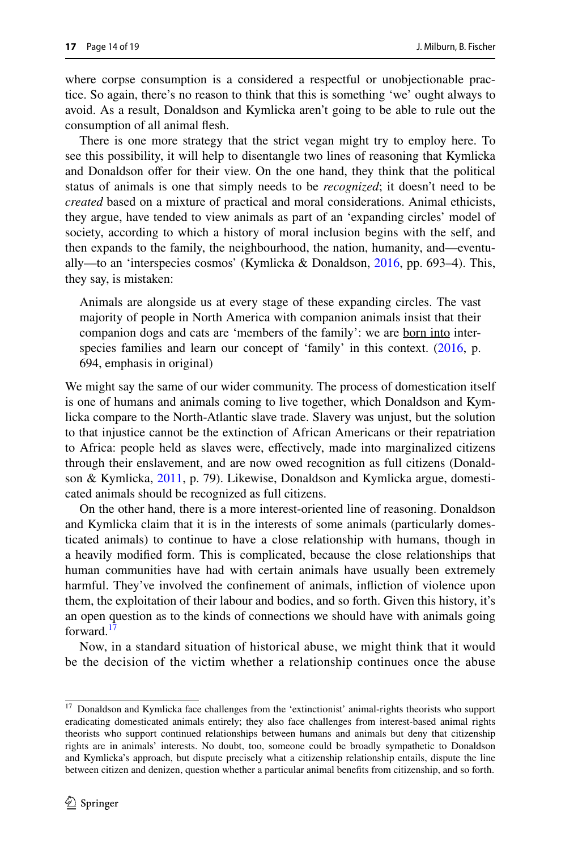where corpse consumption is a considered a respectful or unobjectionable practice. So again, there's no reason to think that this is something 'we' ought always to avoid. As a result, Donaldson and Kymlicka aren't going to be able to rule out the consumption of all animal fesh.

There is one more strategy that the strict vegan might try to employ here. To see this possibility, it will help to disentangle two lines of reasoning that Kymlicka and Donaldson ofer for their view. On the one hand, they think that the political status of animals is one that simply needs to be *recognized*; it doesn't need to be *created* based on a mixture of practical and moral considerations. Animal ethicists, they argue, have tended to view animals as part of an 'expanding circles' model of society, according to which a history of moral inclusion begins with the self, and then expands to the family, the neighbourhood, the nation, humanity, and—eventually—to an 'interspecies cosmos' (Kymlicka & Donaldson, [2016](#page-17-17), pp. 693–4). This, they say, is mistaken:

Animals are alongside us at every stage of these expanding circles. The vast majority of people in North America with companion animals insist that their companion dogs and cats are 'members of the family': we are born into inter-species families and learn our concept of 'family' in this context. [\(2016](#page-17-17), p. 694, emphasis in original)

We might say the same of our wider community. The process of domestication itself is one of humans and animals coming to live together, which Donaldson and Kymlicka compare to the North-Atlantic slave trade. Slavery was unjust, but the solution to that injustice cannot be the extinction of African Americans or their repatriation to Africa: people held as slaves were, efectively, made into marginalized citizens through their enslavement, and are now owed recognition as full citizens (Donaldson & Kymlicka, [2011](#page-17-16), p. 79). Likewise, Donaldson and Kymlicka argue, domesticated animals should be recognized as full citizens.

On the other hand, there is a more interest-oriented line of reasoning. Donaldson and Kymlicka claim that it is in the interests of some animals (particularly domesticated animals) to continue to have a close relationship with humans, though in a heavily modifed form. This is complicated, because the close relationships that human communities have had with certain animals have usually been extremely harmful. They've involved the confnement of animals, infiction of violence upon them, the exploitation of their labour and bodies, and so forth. Given this history, it's an open question as to the kinds of connections we should have with animals going forward.<sup>1</sup>

Now, in a standard situation of historical abuse, we might think that it would be the decision of the victim whether a relationship continues once the abuse

<span id="page-13-0"></span><sup>17</sup> Donaldson and Kymlicka face challenges from the 'extinctionist' animal-rights theorists who support eradicating domesticated animals entirely; they also face challenges from interest-based animal rights theorists who support continued relationships between humans and animals but deny that citizenship rights are in animals' interests. No doubt, too, someone could be broadly sympathetic to Donaldson and Kymlicka's approach, but dispute precisely what a citizenship relationship entails, dispute the line between citizen and denizen, question whether a particular animal benefts from citizenship, and so forth.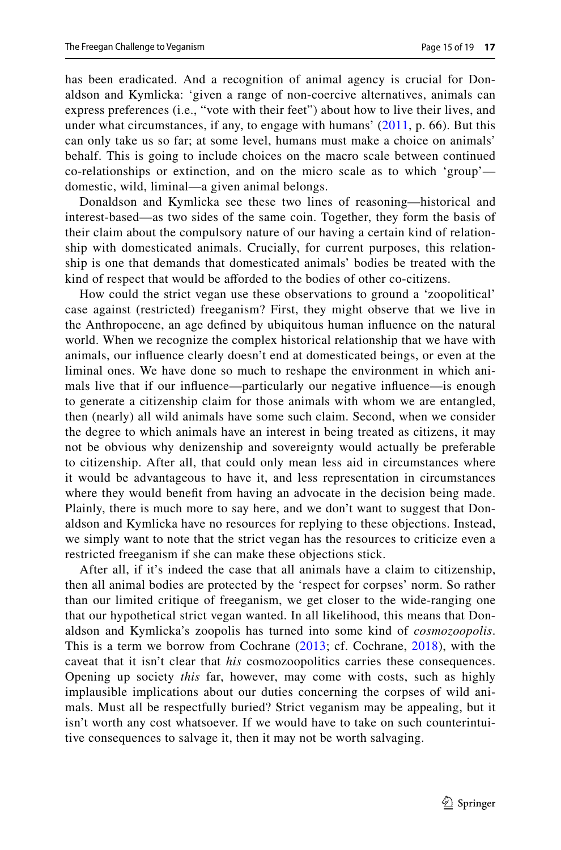has been eradicated. And a recognition of animal agency is crucial for Donaldson and Kymlicka: 'given a range of non-coercive alternatives, animals can express preferences (i.e., "vote with their feet") about how to live their lives, and under what circumstances, if any, to engage with humans'  $(2011, p. 66)$  $(2011, p. 66)$ . But this can only take us so far; at some level, humans must make a choice on animals' behalf. This is going to include choices on the macro scale between continued co-relationships or extinction, and on the micro scale as to which 'group' domestic, wild, liminal—a given animal belongs.

Donaldson and Kymlicka see these two lines of reasoning—historical and interest-based—as two sides of the same coin. Together, they form the basis of their claim about the compulsory nature of our having a certain kind of relationship with domesticated animals. Crucially, for current purposes, this relationship is one that demands that domesticated animals' bodies be treated with the kind of respect that would be aforded to the bodies of other co-citizens.

How could the strict vegan use these observations to ground a 'zoopolitical' case against (restricted) freeganism? First, they might observe that we live in the Anthropocene, an age defned by ubiquitous human infuence on the natural world. When we recognize the complex historical relationship that we have with animals, our infuence clearly doesn't end at domesticated beings, or even at the liminal ones. We have done so much to reshape the environment in which animals live that if our infuence—particularly our negative infuence—is enough to generate a citizenship claim for those animals with whom we are entangled, then (nearly) all wild animals have some such claim. Second, when we consider the degree to which animals have an interest in being treated as citizens, it may not be obvious why denizenship and sovereignty would actually be preferable to citizenship. After all, that could only mean less aid in circumstances where it would be advantageous to have it, and less representation in circumstances where they would beneft from having an advocate in the decision being made. Plainly, there is much more to say here, and we don't want to suggest that Donaldson and Kymlicka have no resources for replying to these objections. Instead, we simply want to note that the strict vegan has the resources to criticize even a restricted freeganism if she can make these objections stick.

After all, if it's indeed the case that all animals have a claim to citizenship, then all animal bodies are protected by the 'respect for corpses' norm. So rather than our limited critique of freeganism, we get closer to the wide-ranging one that our hypothetical strict vegan wanted. In all likelihood, this means that Donaldson and Kymlicka's zoopolis has turned into some kind of *cosmozoopolis*. This is a term we borrow from Cochrane ([2013;](#page-17-30) cf. Cochrane, [2018\)](#page-17-31), with the caveat that it isn't clear that *his* cosmozoopolitics carries these consequences. Opening up society *this* far, however, may come with costs, such as highly implausible implications about our duties concerning the corpses of wild animals. Must all be respectfully buried? Strict veganism may be appealing, but it isn't worth any cost whatsoever. If we would have to take on such counterintuitive consequences to salvage it, then it may not be worth salvaging.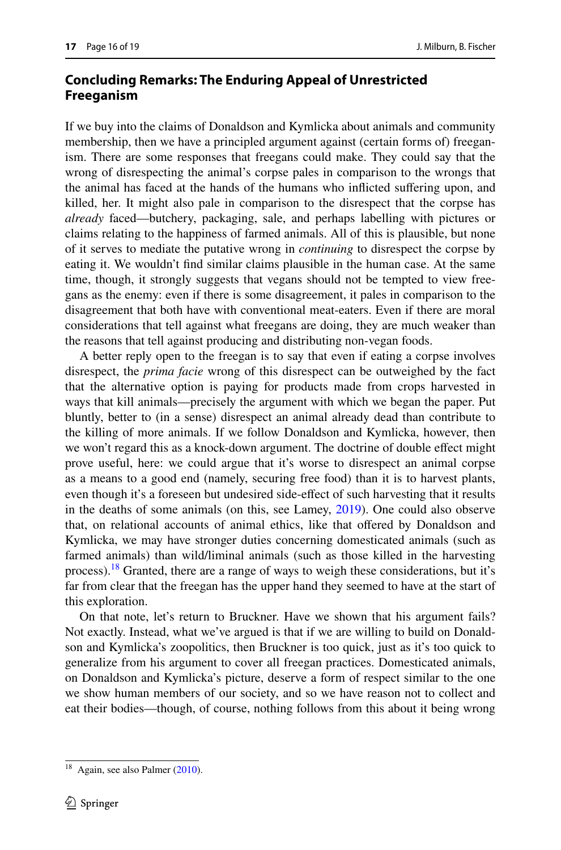# **Concluding Remarks: The Enduring Appeal of Unrestricted Freeganism**

If we buy into the claims of Donaldson and Kymlicka about animals and community membership, then we have a principled argument against (certain forms of) freeganism. There are some responses that freegans could make. They could say that the wrong of disrespecting the animal's corpse pales in comparison to the wrongs that the animal has faced at the hands of the humans who inficted sufering upon, and killed, her. It might also pale in comparison to the disrespect that the corpse has *already* faced—butchery, packaging, sale, and perhaps labelling with pictures or claims relating to the happiness of farmed animals. All of this is plausible, but none of it serves to mediate the putative wrong in *continuing* to disrespect the corpse by eating it. We wouldn't fnd similar claims plausible in the human case. At the same time, though, it strongly suggests that vegans should not be tempted to view freegans as the enemy: even if there is some disagreement, it pales in comparison to the disagreement that both have with conventional meat-eaters. Even if there are moral considerations that tell against what freegans are doing, they are much weaker than the reasons that tell against producing and distributing non-vegan foods.

A better reply open to the freegan is to say that even if eating a corpse involves disrespect, the *prima facie* wrong of this disrespect can be outweighed by the fact that the alternative option is paying for products made from crops harvested in ways that kill animals—precisely the argument with which we began the paper. Put bluntly, better to (in a sense) disrespect an animal already dead than contribute to the killing of more animals. If we follow Donaldson and Kymlicka, however, then we won't regard this as a knock-down argument. The doctrine of double efect might prove useful, here: we could argue that it's worse to disrespect an animal corpse as a means to a good end (namely, securing free food) than it is to harvest plants, even though it's a foreseen but undesired side-efect of such harvesting that it results in the deaths of some animals (on this, see Lamey, [2019](#page-17-32)). One could also observe that, on relational accounts of animal ethics, like that ofered by Donaldson and Kymlicka, we may have stronger duties concerning domesticated animals (such as farmed animals) than wild/liminal animals (such as those killed in the harvesting process).<sup>18</sup> Granted, there are a range of ways to weigh these considerations, but it's far from clear that the freegan has the upper hand they seemed to have at the start of this exploration.

On that note, let's return to Bruckner. Have we shown that his argument fails? Not exactly. Instead, what we've argued is that if we are willing to build on Donaldson and Kymlicka's zoopolitics, then Bruckner is too quick, just as it's too quick to generalize from his argument to cover all freegan practices. Domesticated animals, on Donaldson and Kymlicka's picture, deserve a form of respect similar to the one we show human members of our society, and so we have reason not to collect and eat their bodies—though, of course, nothing follows from this about it being wrong

<span id="page-15-0"></span><sup>&</sup>lt;sup>18</sup> Again, see also Palmer [\(2010](#page-17-28)).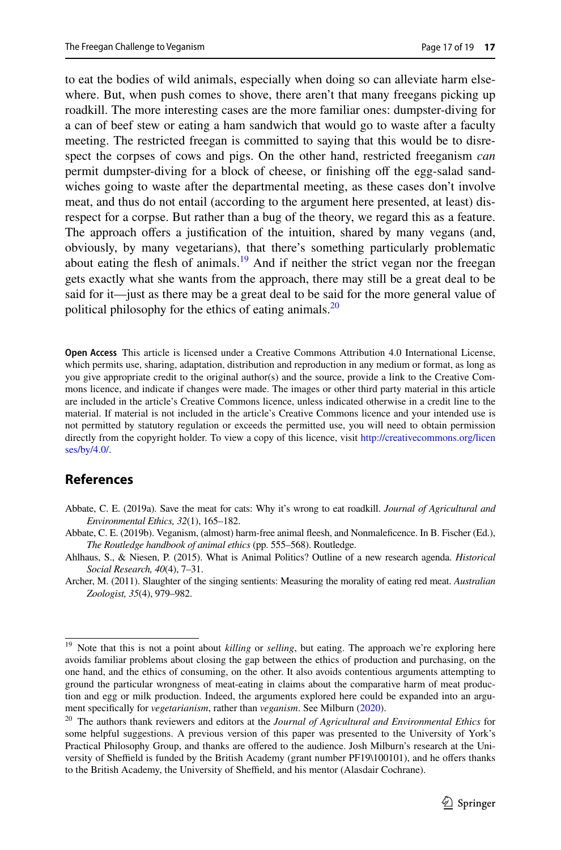to eat the bodies of wild animals, especially when doing so can alleviate harm elsewhere. But, when push comes to shove, there aren't that many freegans picking up roadkill. The more interesting cases are the more familiar ones: dumpster-diving for a can of beef stew or eating a ham sandwich that would go to waste after a faculty meeting. The restricted freegan is committed to saying that this would be to disrespect the corpses of cows and pigs. On the other hand, restricted freeganism *can* permit dumpster-diving for a block of cheese, or fnishing of the egg-salad sandwiches going to waste after the departmental meeting, as these cases don't involve meat, and thus do not entail (according to the argument here presented, at least) disrespect for a corpse. But rather than a bug of the theory, we regard this as a feature. The approach offers a justification of the intuition, shared by many vegans (and, obviously, by many vegetarians), that there's something particularly problematic about eating the flesh of animals.<sup>19</sup> And if neither the strict vegan nor the freegan gets exactly what she wants from the approach, there may still be a great deal to be said for it—just as there may be a great deal to be said for the more general value of political philosophy for the ethics of eating animals.<sup>[20](#page-16-5)</sup>

**Open Access** This article is licensed under a Creative Commons Attribution 4.0 International License, which permits use, sharing, adaptation, distribution and reproduction in any medium or format, as long as you give appropriate credit to the original author(s) and the source, provide a link to the Creative Commons licence, and indicate if changes were made. The images or other third party material in this article are included in the article's Creative Commons licence, unless indicated otherwise in a credit line to the material. If material is not included in the article's Creative Commons licence and your intended use is not permitted by statutory regulation or exceeds the permitted use, you will need to obtain permission directly from the copyright holder. To view a copy of this licence, visit [http://creativecommons.org/licen](http://creativecommons.org/licenses/by/4.0/) [ses/by/4.0/](http://creativecommons.org/licenses/by/4.0/).

### **References**

- <span id="page-16-2"></span>Abbate, C. E. (2019a). Save the meat for cats: Why it's wrong to eat roadkill. *Journal of Agricultural and Environmental Ethics, 32*(1), 165–182.
- <span id="page-16-1"></span>Abbate, C. E. (2019b). Veganism, (almost) harm-free animal feesh, and Nonmalefcence. In B. Fischer (Ed.), *The Routledge handbook of animal ethics* (pp. 555–568). Routledge.
- <span id="page-16-3"></span>Ahlhaus, S., & Niesen, P. (2015). What is Animal Politics? Outline of a new research agenda. *Historical Social Research, 40*(4), 7–31.
- <span id="page-16-0"></span>Archer, M. (2011). Slaughter of the singing sentients: Measuring the morality of eating red meat. *Australian Zoologist, 35*(4), 979–982.

<span id="page-16-4"></span><sup>&</sup>lt;sup>19</sup> Note that this is not a point about *killing* or *selling*, but eating. The approach we're exploring here avoids familiar problems about closing the gap between the ethics of production and purchasing, on the one hand, and the ethics of consuming, on the other. It also avoids contentious arguments attempting to ground the particular wrongness of meat-eating in claims about the comparative harm of meat production and egg or milk production. Indeed, the arguments explored here could be expanded into an argument specifcally for *vegetarianism*, rather than *veganism*. See Milburn [\(2020](#page-17-33)).

<span id="page-16-5"></span><sup>20</sup> The authors thank reviewers and editors at the *Journal of Agricultural and Environmental Ethics* for some helpful suggestions. A previous version of this paper was presented to the University of York's Practical Philosophy Group, and thanks are ofered to the audience. Josh Milburn's research at the University of Sheffield is funded by the British Academy (grant number PF19\100101), and he offers thanks to the British Academy, the University of Sheffield, and his mentor (Alasdair Cochrane).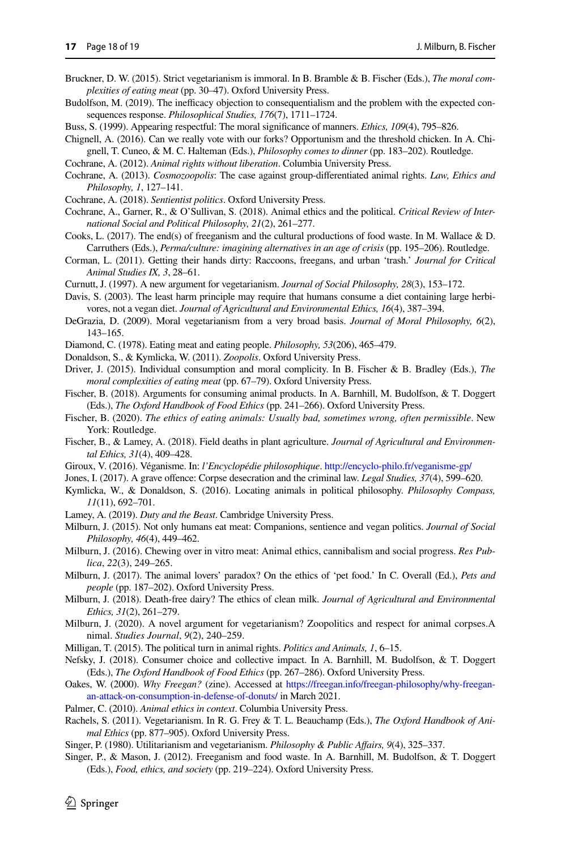- <span id="page-17-0"></span>Bruckner, D. W. (2015). Strict vegetarianism is immoral. In B. Bramble & B. Fischer (Eds.), *The moral complexities of eating meat* (pp. 30–47). Oxford University Press.
- <span id="page-17-22"></span>Budolfson, M. (2019). The inefficacy objection to consequentialism and the problem with the expected consequences response. *Philosophical Studies, 176*(7), 1711–1724.
- <span id="page-17-24"></span>Buss, S. (1999). Appearing respectful: The moral signifcance of manners. *Ethics, 109*(4), 795–826.
- <span id="page-17-11"></span>Chignell, A. (2016). Can we really vote with our forks? Opportunism and the threshold chicken. In A. Chignell, T. Cuneo, & M. C. Halteman (Eds.), *Philosophy comes to dinner* (pp. 183–202). Routledge.
- <span id="page-17-10"></span>Cochrane, A. (2012). *Animal rights without liberation*. Columbia University Press.
- <span id="page-17-30"></span>Cochrane, A. (2013). *Cosmozoopolis*: The case against group-diferentiated animal rights. *Law, Ethics and Philosophy, 1*, 127–141.
- <span id="page-17-31"></span>Cochrane, A. (2018). *Sentientist politics*. Oxford University Press.
- <span id="page-17-18"></span>Cochrane, A., Garner, R., & O'Sullivan, S. (2018). Animal ethics and the political. *Critical Review of International Social and Political Philosophy, 21*(2), 261–277.
- <span id="page-17-4"></span>Cooks, L. (2017). The end(s) of freeganism and the cultural productions of food waste. In M. Wallace & D. Carruthers (Eds.), *Perma/culture: imagining alternatives in an age of crisis* (pp. 195–206). Routledge.
- <span id="page-17-13"></span>Corman, L. (2011). Getting their hands dirty: Raccoons, freegans, and urban 'trash.' *Journal for Critical Animal Studies IX, 3*, 28–61.
- <span id="page-17-8"></span>Curnutt, J. (1997). A new argument for vegetarianism. *Journal of Social Philosophy, 28*(3), 153–172.
- <span id="page-17-1"></span>Davis, S. (2003). The least harm principle may require that humans consume a diet containing large herbivores, not a vegan diet. *Journal of Agricultural and Environmental Ethics, 16*(4), 387–394.
- <span id="page-17-6"></span>DeGrazia, D. (2009). Moral vegetarianism from a very broad basis. *Journal of Moral Philosophy, 6*(2), 143–165.
- <span id="page-17-15"></span>Diamond, C. (1978). Eating meat and eating people. *Philosophy, 53*(206), 465–479.
- <span id="page-17-16"></span>Donaldson, S., & Kymlicka, W. (2011). *Zoopolis*. Oxford University Press.
- <span id="page-17-20"></span>Driver, J. (2015). Individual consumption and moral complicity. In B. Fischer & B. Bradley (Eds.), *The moral complexities of eating meat* (pp. 67–79). Oxford University Press.
- <span id="page-17-3"></span>Fischer, B. (2018). Arguments for consuming animal products. In A. Barnhill, M. Budolfson, & T. Doggert (Eds.), *The Oxford Handbook of Food Ethics* (pp. 241–266). Oxford University Press.
- <span id="page-17-12"></span>Fischer, B. (2020). *The ethics of eating animals: Usually bad, sometimes wrong, often permissible*. New York: Routledge.
- <span id="page-17-2"></span>Fischer, B., & Lamey, A. (2018). Field deaths in plant agriculture. *Journal of Agricultural and Environmental Ethics, 31*(4), 409–428.
- <span id="page-17-9"></span>Giroux, V. (2016). Véganisme. In: *l'Encyclopédie philosophique*.<http://encyclo-philo.fr/veganisme-gp/>
- <span id="page-17-23"></span>Jones, I. (2017). A grave ofence: Corpse desecration and the criminal law. *Legal Studies, 37*(4), 599–620.
- <span id="page-17-17"></span>Kymlicka, W., & Donaldson, S. (2016). Locating animals in political philosophy. *Philosophy Compass, 11*(11), 692–701.
- <span id="page-17-32"></span>Lamey, A. (2019). *Duty and the Beast*. Cambridge University Press.
- <span id="page-17-26"></span>Milburn, J. (2015). Not only humans eat meat: Companions, sentience and vegan politics. *Journal of Social Philosophy, 46*(4), 449–462.
- <span id="page-17-29"></span>Milburn, J. (2016). Chewing over in vitro meat: Animal ethics, cannibalism and social progress. *Res Publica*, *22*(3), 249–265.
- <span id="page-17-27"></span>Milburn, J. (2017). The animal lovers' paradox? On the ethics of 'pet food.' In C. Overall (Ed.), *Pets and people* (pp. 187–202). Oxford University Press.
- <span id="page-17-25"></span>Milburn, J. (2018). Death-free dairy? The ethics of clean milk. *Journal of Agricultural and Environmental Ethics, 31*(2), 261–279.
- <span id="page-17-33"></span>Milburn, J. (2020). A novel argument for vegetarianism? Zoopolitics and respect for animal corpses.A nimal. *Studies Journal*, *9*(2), 240–259.
- <span id="page-17-19"></span>Milligan, T. (2015). The political turn in animal rights. *Politics and Animals, 1*, 6–15.
- <span id="page-17-21"></span>Nefsky, J. (2018). Consumer choice and collective impact. In A. Barnhill, M. Budolfson, & T. Doggert (Eds.), *The Oxford Handbook of Food Ethics* (pp. 267–286). Oxford University Press.
- <span id="page-17-5"></span>Oakes, W. (2000). *Why Freegan?* (zine). Accessed at [https://freegan.info/freegan-philosophy/why-freegan](https://freegan.info/freegan-philosophy/why-freegan-an-attack-on-consumption-in-defense-of-donuts/)[an-attack-on-consumption-in-defense-of-donuts/](https://freegan.info/freegan-philosophy/why-freegan-an-attack-on-consumption-in-defense-of-donuts/) in March 2021.
- <span id="page-17-28"></span>Palmer, C. (2010). *Animal ethics in context*. Columbia University Press.
- <span id="page-17-7"></span>Rachels, S. (2011). Vegetarianism. In R. G. Frey & T. L. Beauchamp (Eds.), *The Oxford Handbook of Animal Ethics* (pp. 877–905). Oxford University Press.
- <span id="page-17-14"></span>Singer, P. (1980). Utilitarianism and vegetarianism. *Philosophy & Public Afairs, 9*(4), 325–337.
- Singer, P., & Mason, J. (2012). Freeganism and food waste. In A. Barnhill, M. Budolfson, & T. Doggert (Eds.), *Food, ethics, and society* (pp. 219–224). Oxford University Press.

 $\circled{2}$  Springer